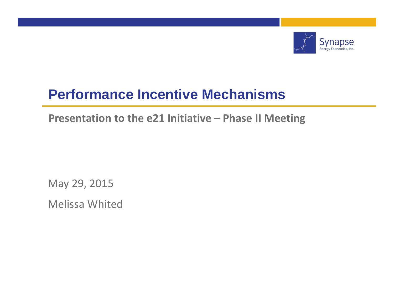

# **Performance Incentive Mechanisms**

**Presentation to the e21 Initiative – Phase II Meeting**

May 29, 2015

Melissa Whited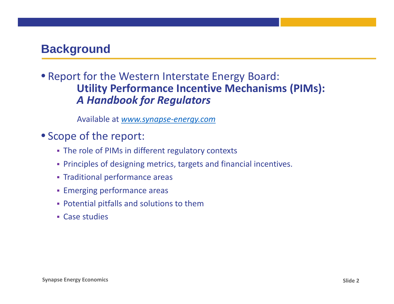## **Background**

#### • Report for the Western Interstate Energy Board: **Utility Performance Incentive Mechanisms (PIMs):** *A Handbook for Regulators*

Available at *www.synapse‐energy.com*

#### • Scope of the report:

- The role of PIMs in different regulatory contexts
- Principles of designing metrics, targets and financial incentives.
- Traditional performance areas
- **Emerging performance areas**
- Potential pitfalls and solutions to them
- Case studies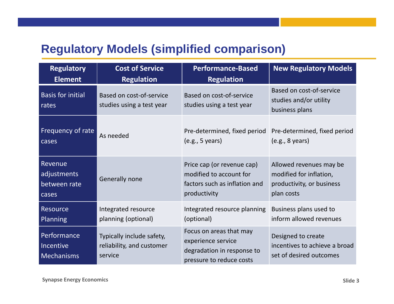## **Regulatory Models (simplified comparison)**

| <b>Regulatory</b>                             | <b>Cost of Service</b>                                            | <b>Performance-Based</b>                                                                                | <b>New Regulatory Models</b>                                                   |
|-----------------------------------------------|-------------------------------------------------------------------|---------------------------------------------------------------------------------------------------------|--------------------------------------------------------------------------------|
| <b>Element</b>                                | <b>Regulation</b>                                                 | <b>Regulation</b>                                                                                       |                                                                                |
| <b>Basis for initial</b><br>rates             | Based on cost-of-service<br>studies using a test year             | Based on cost-of-service<br>studies using a test year                                                   | Based on cost-of-service<br>studies and/or utility<br>business plans           |
| Frequency of rate                             | As needed                                                         | Pre-determined, fixed period                                                                            | Pre-determined, fixed period                                                   |
| cases                                         |                                                                   | (e.g., 5 years)                                                                                         | (e.g., 8 years)                                                                |
| Revenue                                       | Generally none                                                    | Price cap (or revenue cap)                                                                              | Allowed revenues may be                                                        |
| adjustments                                   |                                                                   | modified to account for                                                                                 | modified for inflation,                                                        |
| between rate                                  |                                                                   | factors such as inflation and                                                                           | productivity, or business                                                      |
| cases                                         |                                                                   | productivity                                                                                            | plan costs                                                                     |
| <b>Resource</b>                               | Integrated resource                                               | Integrated resource planning                                                                            | Business plans used to                                                         |
| <b>Planning</b>                               | planning (optional)                                               | (optional)                                                                                              | inform allowed revenues                                                        |
| Performance<br>Incentive<br><b>Mechanisms</b> | Typically include safety,<br>reliability, and customer<br>service | Focus on areas that may<br>experience service<br>degradation in response to<br>pressure to reduce costs | Designed to create<br>incentives to achieve a broad<br>set of desired outcomes |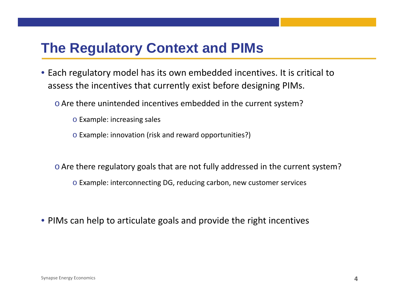# **The Regulatory Context and PIMs**

- Each regulatory model has its own embedded incentives. It is critical to assess the incentives that currently exist before designing PIMs.
	- $\circ$  Are there unintended incentives embedded in the current system?
		- o Example: increasing sales
		- o Example: innovation (risk and reward opportunities?)
	- $\circ$  Are there regulatory goals that are not fully addressed in the current system?
		- o Example: interconnecting DG, reducing carbon, new customer services
- PIMs can help to articulate goals and provide the right incentives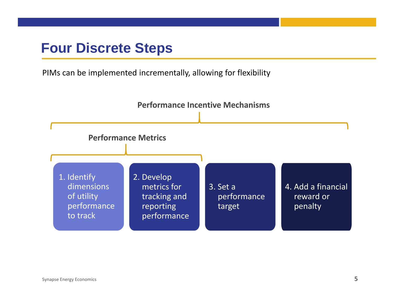# **Four Discrete Steps**

PIMs can be implemented incrementally, allowing for flexibility

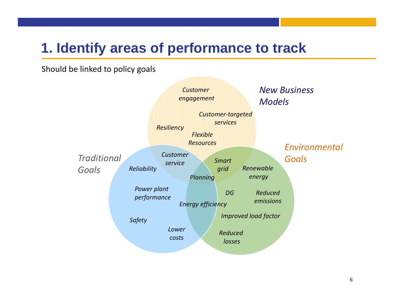# **1. Identify areas of performance to track**

Should be linked to policy goals

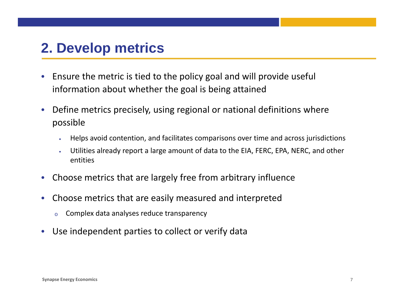# **2. Develop metrics**

- $\bullet$  Ensure the metric is tied to the policy goal and will provide useful information about whether the goal is being attained
- $\bullet$  Define metrics precisely, using regional or national definitions where possible
	- •Helps avoid contention, and facilitates comparisons over time and across jurisdictions
	- • Utilities already report <sup>a</sup> large amount of data to the EIA, FERC, EPA, NERC, and other entities
- $\bullet$ Choose metrics that are largely free from arbitrary influence
- $\bullet$  Choose metrics that are easily measured and interpreted
	- oComplex data analyses reduce transparency
- •Use independent parties to collect or verify data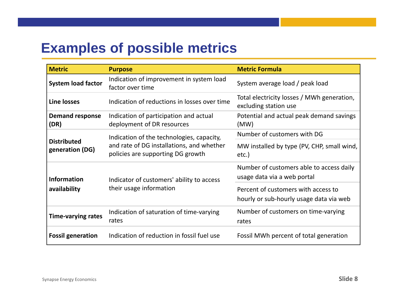# **Examples of possible metrics**

| <b>Metric</b>                         | <b>Purpose</b>                                                                 | <b>Metric Formula</b>                                                          |
|---------------------------------------|--------------------------------------------------------------------------------|--------------------------------------------------------------------------------|
| <b>System load factor</b>             | Indication of improvement in system load<br>factor over time                   | System average load / peak load                                                |
| <b>Line losses</b>                    | Indication of reductions in losses over time                                   | Total electricity losses / MWh generation,<br>excluding station use            |
| <b>Demand response</b><br>(DR)        | Indication of participation and actual<br>deployment of DR resources           | Potential and actual peak demand savings<br>(MW)                               |
|                                       | Indication of the technologies, capacity,                                      | Number of customers with DG                                                    |
| <b>Distributed</b><br>generation (DG) | and rate of DG installations, and whether<br>policies are supporting DG growth | MW installed by type (PV, CHP, small wind,<br>etc.)                            |
| <b>Information</b>                    | Indicator of customers' ability to access                                      | Number of customers able to access daily<br>usage data via a web portal        |
| availability                          | their usage information                                                        | Percent of customers with access to<br>hourly or sub-hourly usage data via web |
| <b>Time-varying rates</b>             | Indication of saturation of time-varying<br>rates                              | Number of customers on time-varying<br>rates                                   |
| <b>Fossil generation</b>              | Indication of reduction in fossil fuel use                                     | Fossil MWh percent of total generation                                         |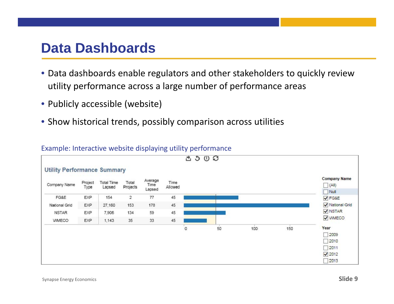# **Data Dashboards**

- Data dashboards enable regulators and other stakeholders to quickly review utility performance across <sup>a</sup> large number of performance areas
- Publicly accessible (website)
- Show historical trends, possibly comparison across utilities

#### Example: Interactive website displaying utility performance

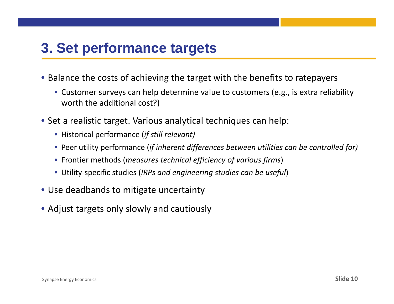# **3. Set performance targets**

- Balance the costs of achieving the target with the benefits to ratepayers
	- Customer surveys can help determine value to customers (e.g., is extra reliability worth the additional cost?)
- Set a realistic target. Various analytical techniques can help:
	- Historical performance (*if still relevant)*
	- Peer utility performance (*if inherent differences between utilities can be controlled for)*
	- Frontier methods (*measures technical efficiency of various firms*)
	- Utility‐specific studies (*IRPs and engineering studies can be useful*)
- Use deadbands to mitigate uncertainty
- Adjust targets only slowly and cautiously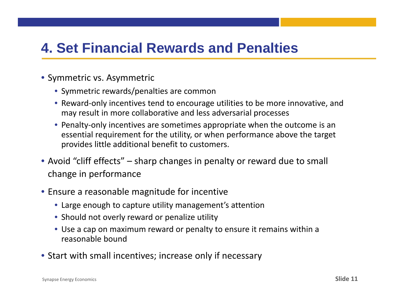# **4. Set Financial Rewards and Penalties**

- Symmetric vs. Asymmetric
	- Symmetric rewards/penalties are common
	- Reward-only incentives tend to encourage utilities to be more innovative, and may result in more collaborative and less adversarial processes
	- Penalty‐only incentives are sometimes appropriate when the outcome is an essential requirement for the utility, or when performance above the target provides little additional benefit to customers.
- Avoid "cliff effects" sharp changes in penalty or reward due to small change in performance
- Ensure a reasonable magnitude for incentive
	- Large enough to capture utility management's attention
	- Should not overly reward or penalize utility
	- Use a cap on maximum reward or penalty to ensure it remains within a reasonable bound
- Start with small incentives; increase only if necessary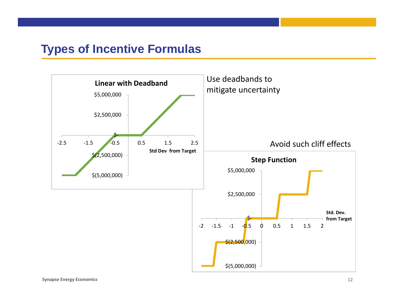#### **Types of Incentive Formulas**

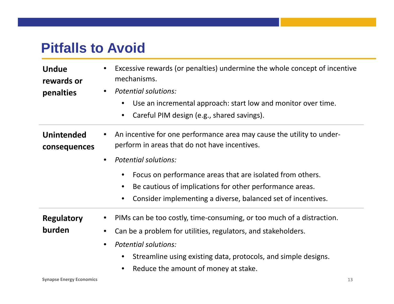# **Pitfalls to Avoid**

| <b>Undue</b><br>rewards or<br>penalties | Excessive rewards (or penalties) undermine the whole concept of incentive<br>mechanisms.<br><b>Potential solutions:</b><br>Use an incremental approach: start low and monitor over time.<br>$\bullet$<br>Careful PIM design (e.g., shared savings).<br>$\bullet$                                                                                                                                                |
|-----------------------------------------|-----------------------------------------------------------------------------------------------------------------------------------------------------------------------------------------------------------------------------------------------------------------------------------------------------------------------------------------------------------------------------------------------------------------|
| <b>Unintended</b><br>consequences       | An incentive for one performance area may cause the utility to under-<br>$\bullet$<br>perform in areas that do not have incentives.<br><b>Potential solutions:</b><br>$\bullet$<br>Focus on performance areas that are isolated from others.<br>$\bullet$<br>Be cautious of implications for other performance areas.<br>$\bullet$<br>Consider implementing a diverse, balanced set of incentives.<br>$\bullet$ |
| <b>Regulatory</b><br>burden             | PIMs can be too costly, time-consuming, or too much of a distraction.<br>Can be a problem for utilities, regulators, and stakeholders.<br>$\bullet$<br><b>Potential solutions:</b><br>$\bullet$<br>Streamline using existing data, protocols, and simple designs.<br>Reduce the amount of money at stake.                                                                                                       |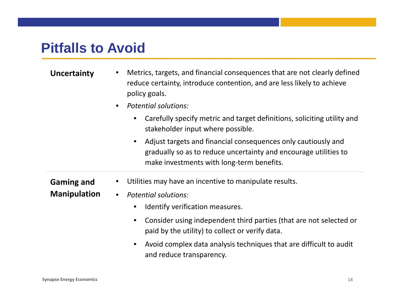# **Pitfalls to Avoid**

- **Uncertainty** Metrics, targets, and financial consequences that are not clearly defined reduce certainty, introduce contention, and are less likely to achieve policy goals.
	- • *Potential solutions:*
		- • Carefully specify metric and target definitions, soliciting utility and stakeholder input where possible.
		- • Adjust targets and financial consequences only cautiously and gradually so as to reduce uncertainty and encourage utilities to make investments with long‐term benefits.
- **Gaming and** •Utilities may have an incentive to manipulate results.
- **Manipulation** • *Potential solutions:*
	- $\bullet$ Identify verification measures.
	- • Consider using independent third parties (that are not selected or paid by the utility) to collect or verify data.
	- • Avoid complex data analysis techniques that are difficult to audit and reduce transparency.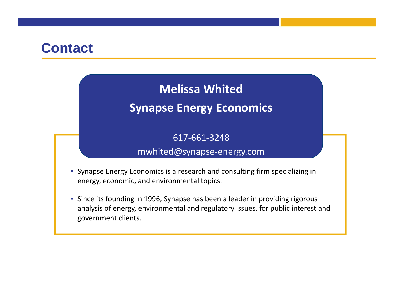# **Contact**

## **Melissa Whited**

## **Synapse Energy Economics**

617‐661‐3248

#### mwhited@synapse‐energy.com

- Synapse Energy Economics is <sup>a</sup> research and consulting firm specializing in energy, economic, and environmental topics.
- Since its founding in 1996, Synapse has been <sup>a</sup> leader in providing rigorous analysis of energy, environmental and regulatory issues, for public interest and government clients.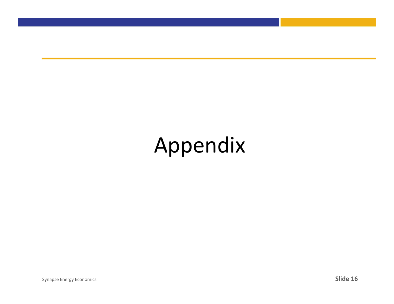# Appendix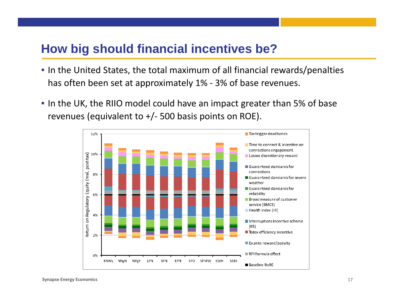## **How big should financial incentives be?**

- In the United States, the total maximum of all financial rewards/penalties has often been set at approximately 1% ‐ 3% of base revenues.
- In the UK, the RIIO model could have an impact greater than 5% of base revenues (equivalent to +/ ‐ 500 basis points on ROE).

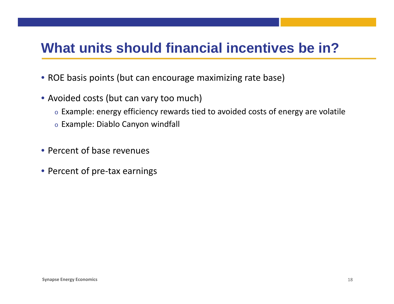# **What units should financial incentives be in?**

- ROE basis points (but can encourage maximizing rate base)
- Avoided costs (but can vary too much)
	- $\circ$  Example: energy efficiency rewards tied to avoided costs of energy are volatile
	- $\circ$  Example: Diablo Canyon windfall
- Percent of base revenues
- Percent of pre-tax earnings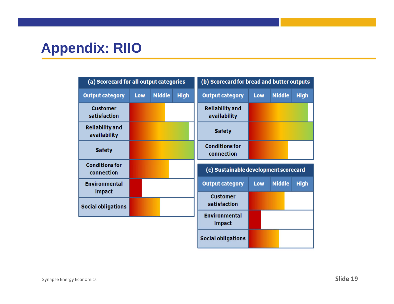# **Appendix: RIIO**

| (a) Scorecard for all output categories |     |               | (b) Scorecard for bread and butter outputs |                                        |     |               |             |
|-----------------------------------------|-----|---------------|--------------------------------------------|----------------------------------------|-----|---------------|-------------|
| <b>Output category</b>                  | Low | <b>Middle</b> | <b>High</b>                                | <b>Output category</b>                 | Low | <b>Middle</b> | <b>High</b> |
| <b>Customer</b><br>satisfaction         |     |               |                                            | <b>Reliability and</b><br>availability |     |               |             |
| <b>Reliability and</b><br>availability  |     |               |                                            | <b>Safety</b>                          |     |               |             |
| <b>Safety</b>                           |     |               |                                            | <b>Conditions for</b><br>connection    |     |               |             |
|                                         |     |               |                                            |                                        |     |               |             |
| <b>Conditions for</b><br>connection     |     |               |                                            | (c) Sustainable development scorecard  |     |               |             |
| <b>Environmental</b>                    |     |               |                                            | <b>Output category</b>                 | Low | <b>Middle</b> | <b>High</b> |
| impact<br><b>Social obligations</b>     |     |               |                                            | <b>Customer</b><br>satisfaction        |     |               |             |
|                                         |     |               |                                            | <b>Environmental</b><br>impact         |     |               |             |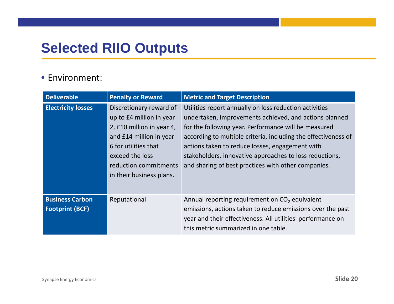# **Selected RIIO Outputs**

#### • Environment:

| <b>Deliverable</b>                               | <b>Penalty or Reward</b>                                                                                                                                                                                    | <b>Metric and Target Description</b>                                                                                                                                                                                                                                                                                                                                                                            |
|--------------------------------------------------|-------------------------------------------------------------------------------------------------------------------------------------------------------------------------------------------------------------|-----------------------------------------------------------------------------------------------------------------------------------------------------------------------------------------------------------------------------------------------------------------------------------------------------------------------------------------------------------------------------------------------------------------|
| <b>Electricity losses</b>                        | Discretionary reward of<br>up to £4 million in year<br>2, £10 million in year 4,<br>and £14 million in year<br>6 for utilities that<br>exceed the loss<br>reduction commitments<br>in their business plans. | Utilities report annually on loss reduction activities<br>undertaken, improvements achieved, and actions planned<br>for the following year. Performance will be measured<br>according to multiple criteria, including the effectiveness of<br>actions taken to reduce losses, engagement with<br>stakeholders, innovative approaches to loss reductions,<br>and sharing of best practices with other companies. |
| <b>Business Carbon</b><br><b>Footprint (BCF)</b> | Reputational                                                                                                                                                                                                | Annual reporting requirement on CO <sub>2</sub> equivalent<br>emissions, actions taken to reduce emissions over the past<br>year and their effectiveness. All utilities' performance on<br>this metric summarized in one table.                                                                                                                                                                                 |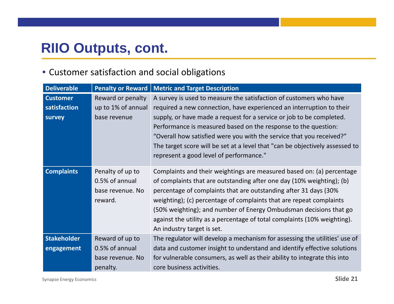# **RIIO Outputs, cont.**

#### • Customer satisfaction and social obligations

| <b>Deliverable</b>                        | <b>Penalty or Reward</b>                                          | <b>Metric and Target Description</b>                                                                                                                                                                                                                                                                                                                                                                                                                                                    |
|-------------------------------------------|-------------------------------------------------------------------|-----------------------------------------------------------------------------------------------------------------------------------------------------------------------------------------------------------------------------------------------------------------------------------------------------------------------------------------------------------------------------------------------------------------------------------------------------------------------------------------|
| <b>Customer</b><br>satisfaction<br>survey | Reward or penalty<br>up to 1% of annual<br>base revenue           | A survey is used to measure the satisfaction of customers who have<br>required a new connection, have experienced an interruption to their<br>supply, or have made a request for a service or job to be completed.<br>Performance is measured based on the response to the question:<br>"Overall how satisfied were you with the service that you received?"<br>The target score will be set at a level that "can be objectively assessed to<br>represent a good level of performance." |
| <b>Complaints</b>                         | Penalty of up to<br>0.5% of annual<br>base revenue. No<br>reward. | Complaints and their weightings are measured based on: (a) percentage<br>of complaints that are outstanding after one day (10% weighting); (b)<br>percentage of complaints that are outstanding after 31 days (30%<br>weighting); (c) percentage of complaints that are repeat complaints<br>(50% weighting); and number of Energy Ombudsman decisions that go<br>against the utility as a percentage of total complaints (10% weighting).<br>An industry target is set.                |
| <b>Stakeholder</b><br>engagement          | Reward of up to<br>0.5% of annual<br>base revenue. No<br>penalty. | The regulator will develop a mechanism for assessing the utilities' use of<br>data and customer insight to understand and identify effective solutions<br>for vulnerable consumers, as well as their ability to integrate this into<br>core business activities.                                                                                                                                                                                                                        |